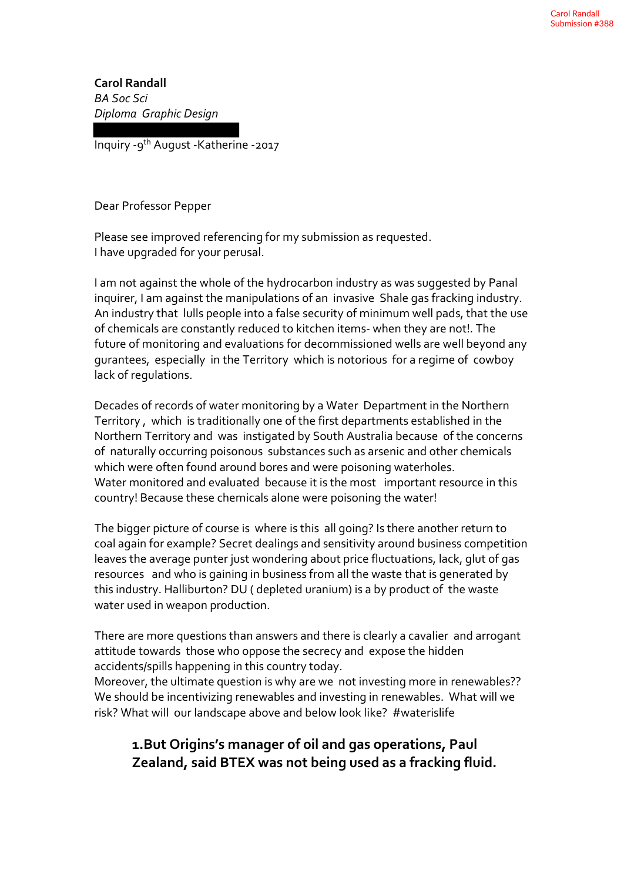**Carol Randall** *BA Soc Sci Diploma Graphic Design*

Inquiry -9th August -Katherine -2017

Dear Professor Pepper

Please see improved referencing for my submission as requested. I have upgraded for your perusal.

I am not against the whole of the hydrocarbon industry as was suggested by Panal inquirer, I am against the manipulations of an invasive Shale gas fracking industry. An industry that lulls people into a false security of minimum well pads, that the use of chemicals are constantly reduced to kitchen items- when they are not!. The future of monitoring and evaluations for decommissioned wells are well beyond any gurantees, especially in the Territory which is notorious for a regime of cowboy lack of regulations.

Decades of records of water monitoring by a Water Department in the Northern Territory , which is traditionally one of the first departments established in the Northern Territory and was instigated by South Australia because of the concerns of naturally occurring poisonous substances such as arsenic and other chemicals which were often found around bores and were poisoning waterholes. Water monitored and evaluated because it is the most important resource in this country! Because these chemicals alone were poisoning the water!

The bigger picture of course is where is this all going? Is there another return to coal again for example? Secret dealings and sensitivity around business competition leaves the average punter just wondering about price fluctuations, lack, glut of gas resources and who is gaining in business from all the waste that is generated by this industry. Halliburton? DU ( depleted uranium) is a by product of the waste water used in weapon production.

There are more questions than answers and there is clearly a cavalier and arrogant attitude towards those who oppose the secrecy and expose the hidden accidents/spills happening in this country today.

Moreover, the ultimate question is why are we not investing more in renewables?? We should be incentivizing renewables and investing in renewables. What will we risk? What will our landscape above and below look like? #waterislife

# **1.But Origins's manager of oil and gas operations, Paul Zealand, said BTEX was not being used as a fracking fluid.**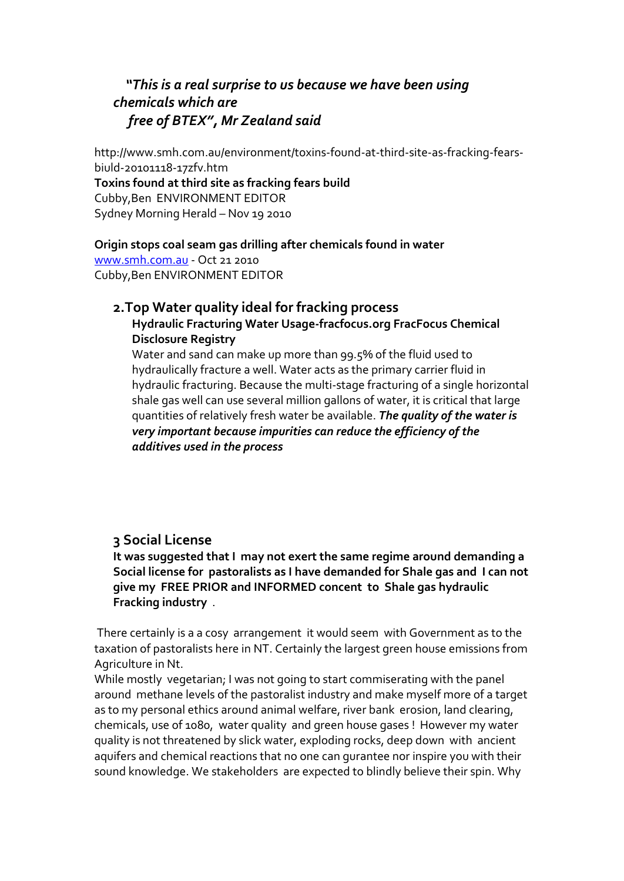# *"This is a real surprise to us because we have been using chemicals which are free of BTEX", Mr Zealand said*

http://www.smh.com.au/environment/toxins-found-at-third-site-as-fracking-fearsbiuld-20101118-17zfv.htm **Toxins found at third site as fracking fears build** Cubby,Ben ENVIRONMENT EDITOR Sydney Morning Herald – Nov 19 2010

#### **Origin stops coal seam gas drilling after chemicals found in water**

www.smh.com.au - Oct 21 2010 Cubby,Ben ENVIRONMENT EDITOR

### **2.Top Water quality ideal for fracking process**

**Hydraulic Fracturing Water Usage-fracfocus.org FracFocus Chemical Disclosure Registry**

Water and sand can make up more than 99.5% of the fluid used to hydraulically fracture a well. Water acts as the primary carrier fluid in hydraulic fracturing. Because the multi-stage fracturing of a single horizontal shale gas well can use several million gallons of water, it is critical that large quantities of relatively fresh water be available. *The quality of the water is very important because impurities can reduce the efficiency of the additives used in the process*

### **3 Social License**

**It was suggested that I may not exert the same regime around demanding a Social license for pastoralists as I have demanded for Shale gas and I can not give my FREE PRIOR and INFORMED concent to Shale gas hydraulic Fracking industry** .

There certainly is a a cosy arrangement it would seem with Government as to the taxation of pastoralists here in NT. Certainly the largest green house emissions from Agriculture in Nt.

While mostly vegetarian; I was not going to start commiserating with the panel around methane levels of the pastoralist industry and make myself more of a target as to my personal ethics around animal welfare, river bank erosion, land clearing, chemicals, use of 1080, water quality and green house gases ! However my water quality is not threatened by slick water, exploding rocks, deep down with ancient aquifers and chemical reactions that no one can gurantee nor inspire you with their sound knowledge. We stakeholders are expected to blindly believe their spin. Why